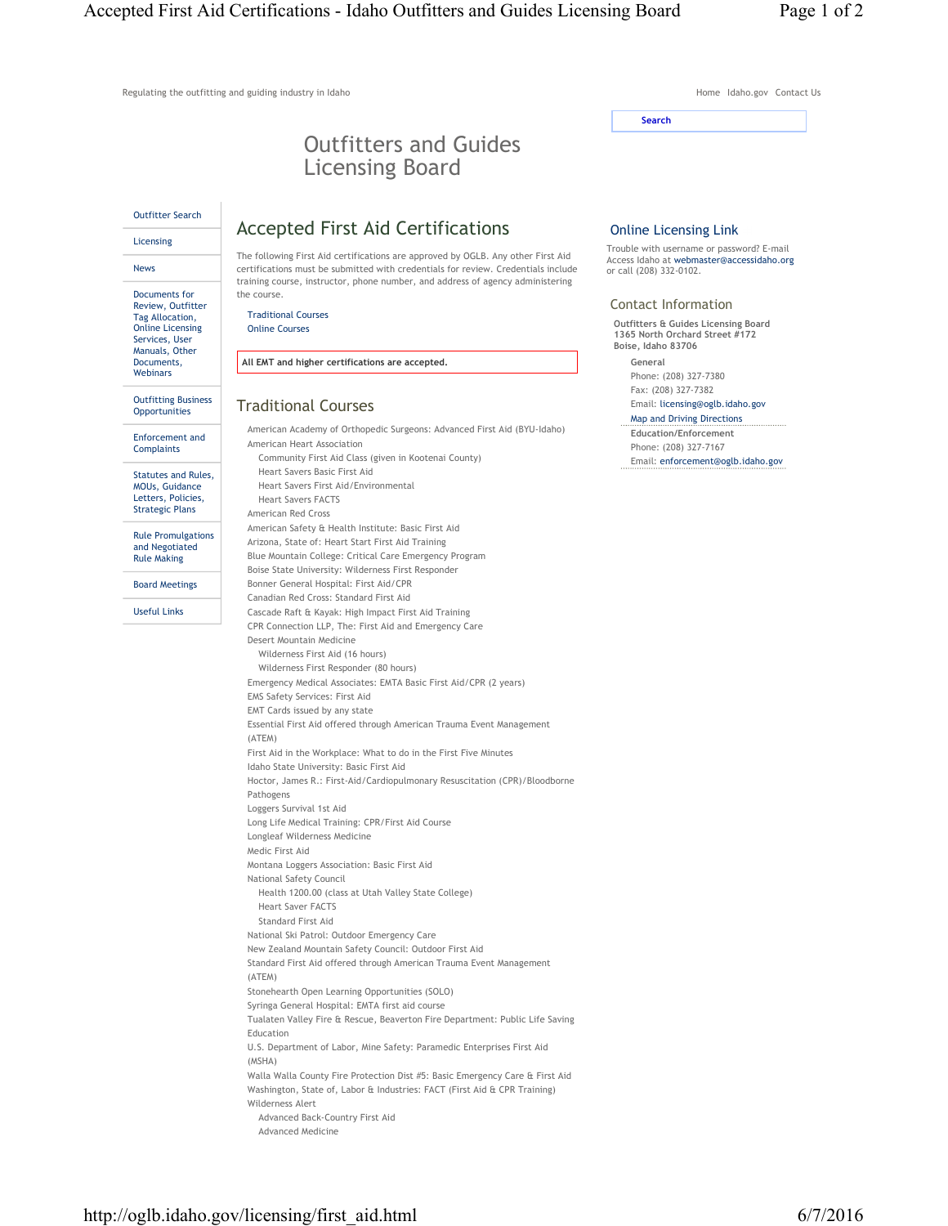Regulating the outfitting and guiding industry in Idaho Home Idaho Home Idaho.gov Contact Us

# Outfitters and Guides Licensing Board

Outfitter Search

Documents for

Licensing News

## Accepted First Aid Certifications

Review, Outfitter Tag Allocation, Online Licensing Services, User Manuals, Other Documents, **Webinars** 

Outfitting Business **Opportunities** 

Enforcement and **Complaints** 

Statutes and Rules, MOUs, Guidance Letters, Policies, Strategic Plans

Rule Promulgations and Negotiated Rule Making

Board Meetings

Useful Links

The following First Aid certifications are approved by OGLB. Any other First Aid

certifications must be submitted with credentials for review. Credentials include training course, instructor, phone number, and address of agency administering the course.

Traditional Courses Online Courses

**All EMT and higher certifications are accepted.**

## Traditional Courses

American Academy of Orthopedic Surgeons: Advanced First Aid (BYU-Idaho) American Heart Association Community First Aid Class (given in Kootenai County) Heart Savers Basic First Aid Heart Savers First Aid/Environmental Heart Savers FACTS American Red Cross American Safety & Health Institute: Basic First Aid Arizona, State of: Heart Start First Aid Training Blue Mountain College: Critical Care Emergency Program Boise State University: Wilderness First Responder Bonner General Hospital: First Aid/CPR Canadian Red Cross: Standard First Aid Cascade Raft & Kayak: High Impact First Aid Training CPR Connection LLP, The: First Aid and Emergency Care Desert Mountain Medicine Wilderness First Aid (16 hours) Wilderness First Responder (80 hours) Emergency Medical Associates: EMTA Basic First Aid/CPR (2 years) EMS Safety Services: First Aid EMT Cards issued by any state Essential First Aid offered through American Trauma Event Management (ATEM) First Aid in the Workplace: What to do in the First Five Minutes Idaho State University: Basic First Aid Hoctor, James R.: First-Aid/Cardiopulmonary Resuscitation (CPR)/Bloodborne Pathogens Loggers Survival 1st Aid Long Life Medical Training: CPR/First Aid Course Longleaf Wilderness Medicine Medic First Aid Montana Loggers Association: Basic First Aid National Safety Council Health 1200.00 (class at Utah Valley State College) Heart Saver FACTS Standard First Aid National Ski Patrol: Outdoor Emergency Care New Zealand Mountain Safety Council: Outdoor First Aid Standard First Aid offered through American Trauma Event Management (ATEM) Stonehearth Open Learning Opportunities (SOLO) Syringa General Hospital: EMTA first aid course Tualaten Valley Fire & Rescue, Beaverton Fire Department: Public Life Saving Education U.S. Department of Labor, Mine Safety: Paramedic Enterprises First Aid (MSHA) Walla Walla County Fire Protection Dist #5: Basic Emergency Care & First Aid Washington, State of, Labor & Industries: FACT (First Aid & CPR Training) Wilderness Alert Advanced Back-Country First Aid Advanced Medicine

#### Online Licensing Link

**Search**

Trouble with username or password? E-mail Access Idaho at webmaster@accessidaho.org or call (208) 332-0102.

#### Contact Information

**Outfitters & Guides Licensing Board 1365 North Orchard Street #172 Boise, Idaho 83706**

**General** Phone: (208) 327-7380 Fax: (208) 327-7382

Email: licensing@oglb.idaho.gov Map and Driving Directions

**Education/Enforcement** Phone: (208) 327-7167 Email: enforcement@oglb.idaho.gov